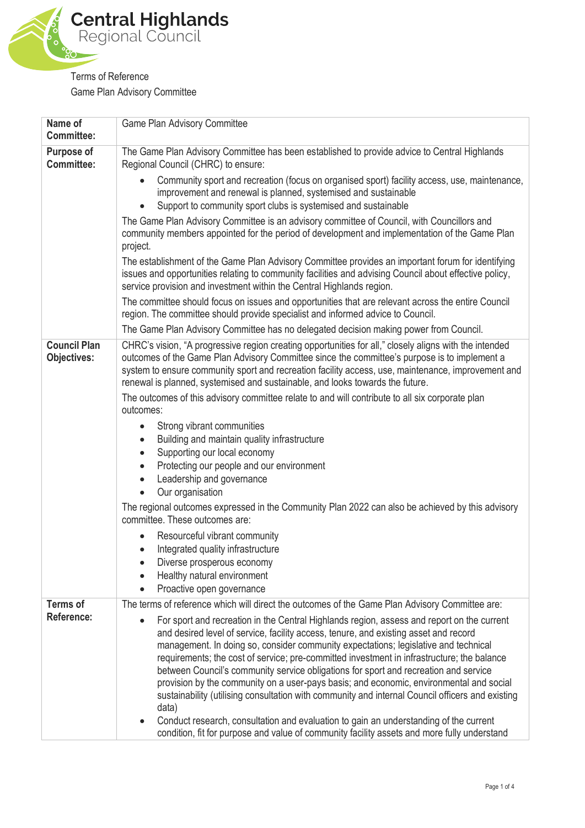

Terms of Reference Game Plan Advisory Committee

| Name of<br><b>Committee:</b>              | Game Plan Advisory Committee                                                                                                                                                                                                                                                                                                                                                                                                                                                                                                                                                                                                                                                                                                                                                                                                                                                              |
|-------------------------------------------|-------------------------------------------------------------------------------------------------------------------------------------------------------------------------------------------------------------------------------------------------------------------------------------------------------------------------------------------------------------------------------------------------------------------------------------------------------------------------------------------------------------------------------------------------------------------------------------------------------------------------------------------------------------------------------------------------------------------------------------------------------------------------------------------------------------------------------------------------------------------------------------------|
| <b>Purpose of</b>                         | The Game Plan Advisory Committee has been established to provide advice to Central Highlands                                                                                                                                                                                                                                                                                                                                                                                                                                                                                                                                                                                                                                                                                                                                                                                              |
| <b>Committee:</b>                         | Regional Council (CHRC) to ensure:                                                                                                                                                                                                                                                                                                                                                                                                                                                                                                                                                                                                                                                                                                                                                                                                                                                        |
|                                           | Community sport and recreation (focus on organised sport) facility access, use, maintenance,<br>improvement and renewal is planned, systemised and sustainable<br>Support to community sport clubs is systemised and sustainable                                                                                                                                                                                                                                                                                                                                                                                                                                                                                                                                                                                                                                                          |
|                                           | The Game Plan Advisory Committee is an advisory committee of Council, with Councillors and<br>community members appointed for the period of development and implementation of the Game Plan<br>project.                                                                                                                                                                                                                                                                                                                                                                                                                                                                                                                                                                                                                                                                                   |
|                                           | The establishment of the Game Plan Advisory Committee provides an important forum for identifying<br>issues and opportunities relating to community facilities and advising Council about effective policy,<br>service provision and investment within the Central Highlands region.                                                                                                                                                                                                                                                                                                                                                                                                                                                                                                                                                                                                      |
|                                           | The committee should focus on issues and opportunities that are relevant across the entire Council<br>region. The committee should provide specialist and informed advice to Council.                                                                                                                                                                                                                                                                                                                                                                                                                                                                                                                                                                                                                                                                                                     |
|                                           | The Game Plan Advisory Committee has no delegated decision making power from Council.                                                                                                                                                                                                                                                                                                                                                                                                                                                                                                                                                                                                                                                                                                                                                                                                     |
| <b>Council Plan</b><br><b>Objectives:</b> | CHRC's vision, "A progressive region creating opportunities for all," closely aligns with the intended<br>outcomes of the Game Plan Advisory Committee since the committee's purpose is to implement a<br>system to ensure community sport and recreation facility access, use, maintenance, improvement and<br>renewal is planned, systemised and sustainable, and looks towards the future.<br>The outcomes of this advisory committee relate to and will contribute to all six corporate plan<br>outcomes:                                                                                                                                                                                                                                                                                                                                                                             |
|                                           | Strong vibrant communities<br>$\bullet$<br>Building and maintain quality infrastructure<br>$\bullet$<br>Supporting our local economy<br>$\bullet$<br>Protecting our people and our environment<br>$\bullet$<br>Leadership and governance<br>$\bullet$<br>Our organisation<br>$\bullet$                                                                                                                                                                                                                                                                                                                                                                                                                                                                                                                                                                                                    |
|                                           | The regional outcomes expressed in the Community Plan 2022 can also be achieved by this advisory<br>committee. These outcomes are:                                                                                                                                                                                                                                                                                                                                                                                                                                                                                                                                                                                                                                                                                                                                                        |
|                                           | Resourceful vibrant community<br>Integrated quality infrastructure<br>$\bullet$<br>Diverse prosperous economy<br>Healthy natural environment<br>Proactive open governance                                                                                                                                                                                                                                                                                                                                                                                                                                                                                                                                                                                                                                                                                                                 |
| <b>Terms of</b>                           | The terms of reference which will direct the outcomes of the Game Plan Advisory Committee are:                                                                                                                                                                                                                                                                                                                                                                                                                                                                                                                                                                                                                                                                                                                                                                                            |
| Reference:                                | For sport and recreation in the Central Highlands region, assess and report on the current<br>$\bullet$<br>and desired level of service, facility access, tenure, and existing asset and record<br>management. In doing so, consider community expectations; legislative and technical<br>requirements; the cost of service; pre-committed investment in infrastructure; the balance<br>between Council's community service obligations for sport and recreation and service<br>provision by the community on a user-pays basis; and economic, environmental and social<br>sustainability (utilising consultation with community and internal Council officers and existing<br>data)<br>Conduct research, consultation and evaluation to gain an understanding of the current<br>$\bullet$<br>condition, fit for purpose and value of community facility assets and more fully understand |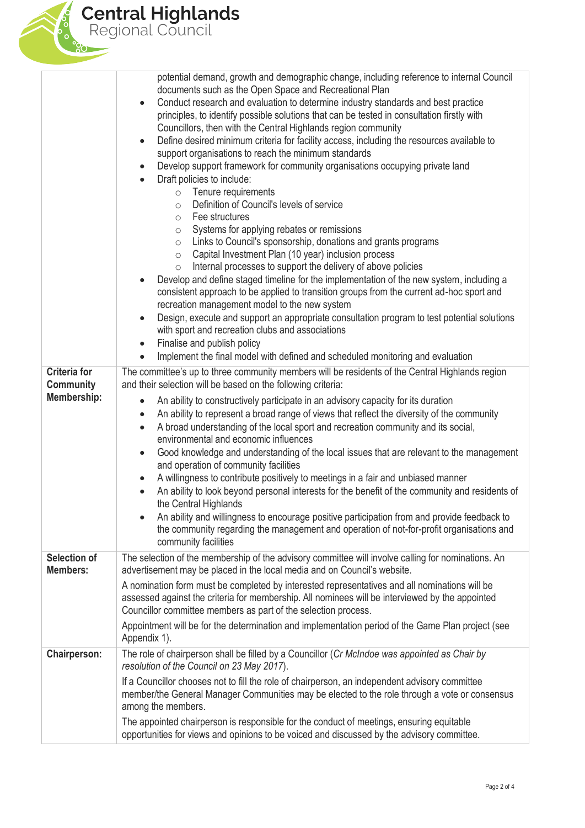

|                                                        | Fee structures<br>$\circ$<br>Systems for applying rebates or remissions<br>$\circ$<br>Links to Council's sponsorship, donations and grants programs<br>$\circ$<br>Capital Investment Plan (10 year) inclusion process<br>$\circ$<br>Internal processes to support the delivery of above policies<br>$\circ$<br>Develop and define staged timeline for the implementation of the new system, including a<br>consistent approach to be applied to transition groups from the current ad-hoc sport and<br>recreation management model to the new system<br>Design, execute and support an appropriate consultation program to test potential solutions<br>$\bullet$<br>with sport and recreation clubs and associations<br>Finalise and publish policy<br>Implement the final model with defined and scheduled monitoring and evaluation                                                                                                                                                                                                                                                                                    |
|--------------------------------------------------------|--------------------------------------------------------------------------------------------------------------------------------------------------------------------------------------------------------------------------------------------------------------------------------------------------------------------------------------------------------------------------------------------------------------------------------------------------------------------------------------------------------------------------------------------------------------------------------------------------------------------------------------------------------------------------------------------------------------------------------------------------------------------------------------------------------------------------------------------------------------------------------------------------------------------------------------------------------------------------------------------------------------------------------------------------------------------------------------------------------------------------|
| <b>Criteria for</b><br>Community<br><b>Membership:</b> | The committee's up to three community members will be residents of the Central Highlands region<br>and their selection will be based on the following criteria:<br>An ability to constructively participate in an advisory capacity for its duration<br>$\bullet$<br>An ability to represent a broad range of views that reflect the diversity of the community<br>$\bullet$<br>A broad understanding of the local sport and recreation community and its social,<br>$\bullet$<br>environmental and economic influences<br>Good knowledge and understanding of the local issues that are relevant to the management<br>and operation of community facilities<br>A willingness to contribute positively to meetings in a fair and unbiased manner<br>$\bullet$<br>An ability to look beyond personal interests for the benefit of the community and residents of<br>the Central Highlands<br>An ability and willingness to encourage positive participation from and provide feedback to<br>$\bullet$<br>the community regarding the management and operation of not-for-profit organisations and<br>community facilities |
| <b>Selection of</b><br><b>Members:</b>                 | The selection of the membership of the advisory committee will involve calling for nominations. An<br>advertisement may be placed in the local media and on Council's website.<br>A nomination form must be completed by interested representatives and all nominations will be<br>assessed against the criteria for membership. All nominees will be interviewed by the appointed<br>Councillor committee members as part of the selection process.<br>Appointment will be for the determination and implementation period of the Game Plan project (see<br>Appendix 1).                                                                                                                                                                                                                                                                                                                                                                                                                                                                                                                                                |
| <b>Chairperson:</b>                                    | The role of chairperson shall be filled by a Councillor (Cr McIndoe was appointed as Chair by<br>resolution of the Council on 23 May 2017).<br>If a Councillor chooses not to fill the role of chairperson, an independent advisory committee<br>member/the General Manager Communities may be elected to the role through a vote or consensus<br>among the members.<br>The appointed chairperson is responsible for the conduct of meetings, ensuring equitable<br>opportunities for views and opinions to be voiced and discussed by the advisory committee.                                                                                                                                                                                                                                                                                                                                                                                                                                                                                                                                                           |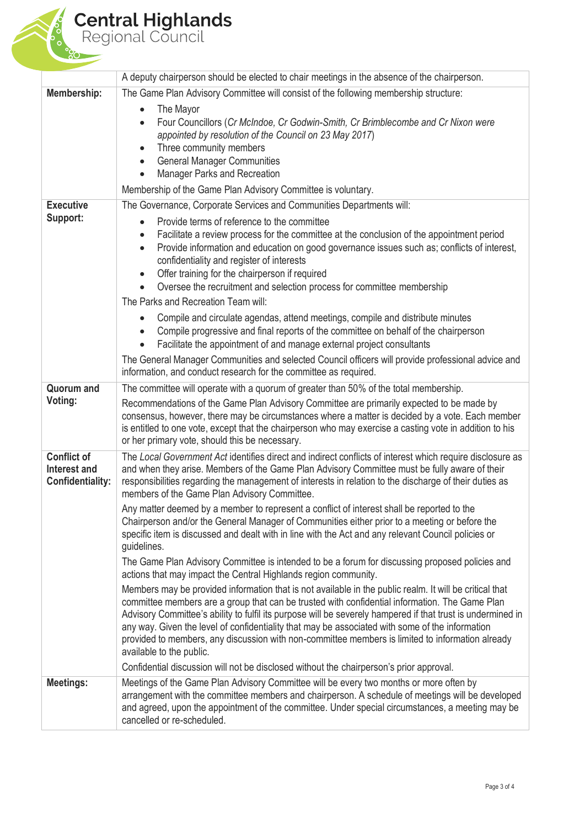## **Central Highlands** Regional Council

A deputy chairperson should be elected to chair meetings in the absence of the chairperson. **Membership:** The Game Plan Advisory Committee will consist of the following membership structure: The Mayor Four Councillors (*Cr McIndoe, Cr Godwin-Smith, Cr Brimblecombe and Cr Nixon were* Membership of the Game Plan Advisory Committee is voluntary. **Executive Support:** The Governance, Corporate Services and Communities Departments will: Provide terms of reference to the committee Facilitate a review process for the committee at the conclusion of the appointment period Provide information and education on good governance issues such as; conflicts of interest, confidentiality and register of interests • Offer training for the chairperson if required Oversee the recruitment and selection process for committee membership The Parks and Recreation Team will: Compile and circulate agendas, attend meetings, compile and distribute minutes Compile progressive and final reports of the committee on behalf of the chairperson Facilitate the appointment of and manage external project consultants The General Manager Communities and selected Council officers will provide professional advice and information, and conduct research for the committee as required. **Quorum and Voting:** The committee will operate with a quorum of greater than 50% of the total membership. Recommendations of the Game Plan Advisory Committee are primarily expected to be made by consensus, however, there may be circumstances where a matter is decided by a vote. Each member is entitled to one vote, except that the chairperson who may exercise a casting vote in addition to his or her primary vote, should this be necessary. **Conflict of Interest and Confidentiality:** The *Local Government Act* identifies direct and indirect conflicts of interest which require disclosure as and when they arise. Members of the Game Plan Advisory Committee must be fully aware of their responsibilities regarding the management of interests in relation to the discharge of their duties as members of the Game Plan Advisory Committee. Any matter deemed by a member to represent a conflict of interest shall be reported to the Chairperson and/or the General Manager of Communities either prior to a meeting or before the specific item is discussed and dealt with in line with the Act and any relevant Council policies or guidelines. The Game Plan Advisory Committee is intended to be a forum for discussing proposed policies and actions that may impact the Central Highlands region community. Members may be provided information that is not available in the public realm. It will be critical that committee members are a group that can be trusted with confidential information. The Game Plan Advisory Committee's ability to fulfil its purpose will be severely hampered if that trust is undermined in any way. Given the level of confidentiality that may be associated with some of the information provided to members, any discussion with non-committee members is limited to information already available to the public. Confidential discussion will not be disclosed without the chairperson's prior approval. **Meetings:** Meetings of the Game Plan Advisory Committee will be every two months or more often by arrangement with the committee members and chairperson. A schedule of meetings will be developed and agreed, upon the appointment of the committee. Under special circumstances, a meeting may be cancelled or re-scheduled. *appointed by resolution of the Council on 23 May 2017*) Three community members General Manager Communities Manager Parks and Recreation